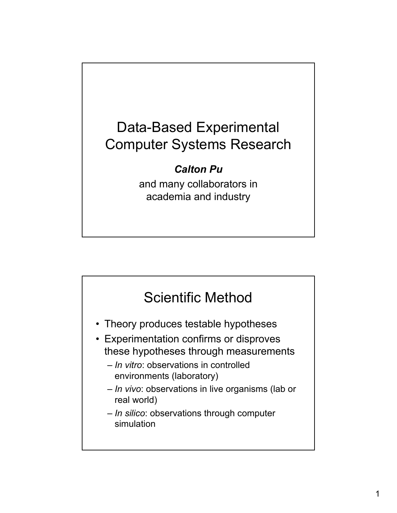

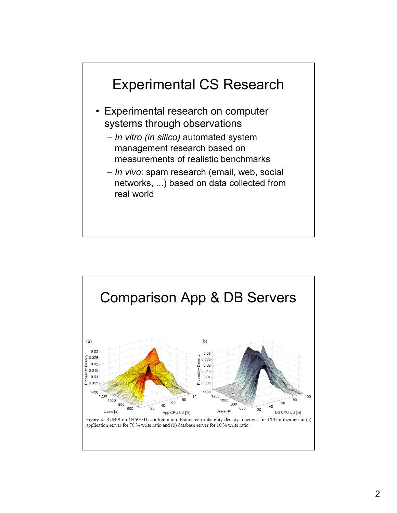

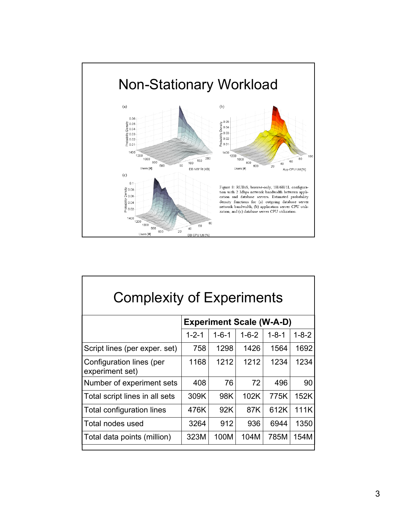

| <b>Complexity of Experiments</b>            |                                 |             |             |             |             |  |
|---------------------------------------------|---------------------------------|-------------|-------------|-------------|-------------|--|
|                                             | <b>Experiment Scale (W-A-D)</b> |             |             |             |             |  |
|                                             | $1 - 2 - 1$                     | $1 - 6 - 1$ | $1 - 6 - 2$ | $1 - 8 - 1$ | $1 - 8 - 2$ |  |
| Script lines (per exper. set)               | 758                             | 1298        | 1426        | 1564        | 1692        |  |
| Configuration lines (per<br>experiment set) | 1168                            | 1212        | 1212        | 1234        | 1234        |  |
| Number of experiment sets                   | 408                             | 76          | 72          | 496         | 90          |  |
| Total script lines in all sets              | 309K                            | 98K         | 102K        | 775K        | 152K        |  |
| Total configuration lines                   | 476K                            | 92K         | 87K         | 612K        | 111K        |  |
| Total nodes used                            | 3264                            | 912         | 936         | 6944        | 1350        |  |
| Total data points (million)                 | 323M                            | 100M        | 104M        | 785M        | 154M        |  |